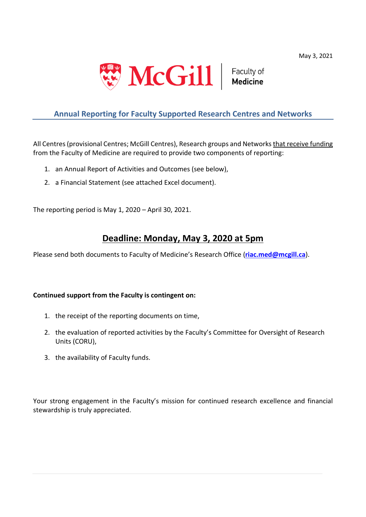May 3, 2021



# **Annual Reporting for Faculty Supported Research Centres and Networks**

All Centres (provisional Centres; McGill Centres), Research groups and Networks that receive funding from the Faculty of Medicine are required to provide two components of reporting:

- 1. an Annual Report of Activities and Outcomes (see below),
- 2. a Financial Statement (see attached Excel document).

The reporting period is May 1, 2020 – April 30, 2021.

# **Deadline: Monday, May 3, 2020 at 5pm**

Please send both documents to Faculty of Medicine's Research Office (**[riac.med@mcgill.ca](mailto:riac.med@mcgill.ca)**).

## **Continued support from the Faculty is contingent on:**

- 1. the receipt of the reporting documents on time,
- 2. the evaluation of reported activities by the Faculty's Committee for Oversight of Research Units (CORU),
- 3. the availability of Faculty funds.

Your strong engagement in the Faculty's mission for continued research excellence and financial stewardship is truly appreciated.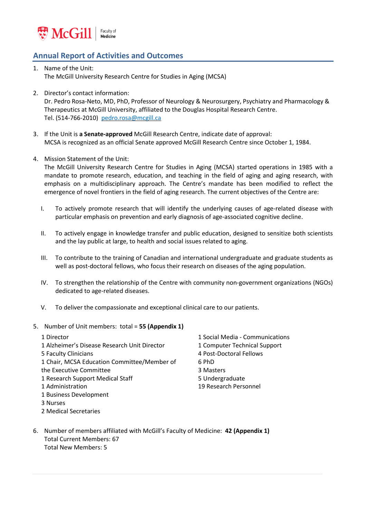

## **Annual Report of Activities and Outcomes**

- 1. Name of the Unit: The McGill University Research Centre for Studies in Aging (MCSA)
- 2. Director's contact information: Dr. Pedro Rosa-Neto, MD, PhD, Professor of Neurology & Neurosurgery, Psychiatry and Pharmacology & Therapeutics at McGill University, affiliated to the Douglas Hospital Research Centre. Tel. (514-766-2010) [pedro.rosa@mcgill.ca](mailto:pedro.rosa@mcgill.ca)
- 3. If the Unit is **a Senate-approved** McGill Research Centre, indicate date of approval: MCSA is recognized as an official Senate approved McGill Research Centre since October 1, 1984.
- 4. Mission Statement of the Unit:

The McGill University Research Centre for Studies in Aging (MCSA) started operations in 1985 with a mandate to promote research, education, and teaching in the field of aging and aging research, with emphasis on a multidisciplinary approach. The Centre's mandate has been modified to reflect the emergence of novel frontiers in the field of aging research. The current objectives of the Centre are:

- I. To actively promote research that will identify the underlying causes of age-related disease with particular emphasis on prevention and early diagnosis of age-associated cognitive decline.
- II. To actively engage in knowledge transfer and public education, designed to sensitize both scientists and the lay public at large, to health and social issues related to aging.
- III. To contribute to the training of Canadian and international undergraduate and graduate students as well as post-doctoral fellows, who focus their research on diseases of the aging population.
- IV. To strengthen the relationship of the Centre with community non-government organizations (NGOs) dedicated to age-related diseases.
- V. To deliver the compassionate and exceptional clinical care to our patients.

#### 5. Number of Unit members: total = **55 (Appendix 1)**

2 Medical Secretaries

- 1 Director 1 Alzheimer's Disease Research Unit Director 5 Faculty Clinicians 1 Chair, MCSA Education Committee/Member of the Executive Committee 1 Research Support Medical Staff 1 Administration 1 Business Development 3 Nurses 1 Social Media - Communications 1 Computer Technical Support 4 Post-Doctoral Fellows 6 PhD 3 Masters 5 Undergraduate 19 Research Personnel
- 6. Number of members affiliated with McGill's Faculty of Medicine: **42 (Appendix 1)** Total Current Members: 67 Total New Members: 5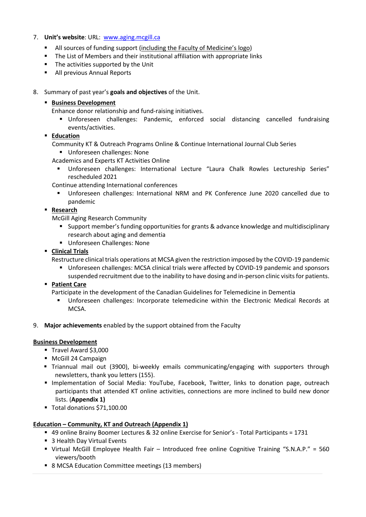## 7. **Unit's website**: URL: [www.aging.mcgill.ca](http://www.aging.mcgill.ca/)

- All sources of funding support (including the Faculty of Medicine's logo)
- The List of Members and their institutional affiliation with appropriate links
- The activities supported by the Unit
- All previous Annual Reports
- 8. Summary of past year's **goals and objectives** of the Unit.

## ▪ **Business Development**

Enhance donor relationship and fund-raising initiatives.

- Unforeseen challenges: Pandemic, enforced social distancing cancelled fundraising events/activities.
- **Education**

Community KT & Outreach Programs Online & Continue International Journal Club Series

■ Unforeseen challenges: None

Academics and Experts KT Activities Online

Unforeseen challenges: International Lecture "Laura Chalk Rowles Lectureship Series" rescheduled 2021

Continue attending International conferences

Unforeseen challenges: International NRM and PK Conference June 2020 cancelled due to pandemic

## ▪ **Research**

McGill Aging Research Community

- Support member's funding opportunities for grants & advance knowledge and multidisciplinary research about aging and dementia
- Unforeseen Challenges: None

## ▪ **Clinical Trials**

Restructure clinical trials operations at MCSA given the restriction imposed by the COVID-19 pandemic

- Unforeseen challenges: MCSA clinical trials were affected by COVID-19 pandemic and sponsors suspended recruitment due to the inability to have dosing and in-person clinic visits for patients.
- **Patient Care**

Participate in the development of the Canadian Guidelines for Telemedicine in Dementia

- Unforeseen challenges: Incorporate telemedicine within the Electronic Medical Records at MCSA.
- 9. **Major achievements** enabled by the support obtained from the Faculty

## **Business Development**

- Travel Award \$3,000
- McGill 24 Campaign
- Triannual mail out (3900), bi-weekly emails communicating/engaging with supporters through newsletters, thank you letters (155).
- **·** Implementation of Social Media: YouTube, Facebook, Twitter, links to donation page, outreach participants that attended KT online activities, connections are more inclined to build new donor lists. (**Appendix 1)**
- Total donations \$71,100.00

## **Education – Community, KT and Outreach (Appendix 1)**

- 49 online Brainy Boomer Lectures & 32 online Exercise for Senior's Total Participants = 1731
- 3 Health Day Virtual Events
- Virtual McGill Employee Health Fair Introduced free online Cognitive Training "S.N.A.P." = 560 viewers/booth
- 8 MCSA Education Committee meetings (13 members)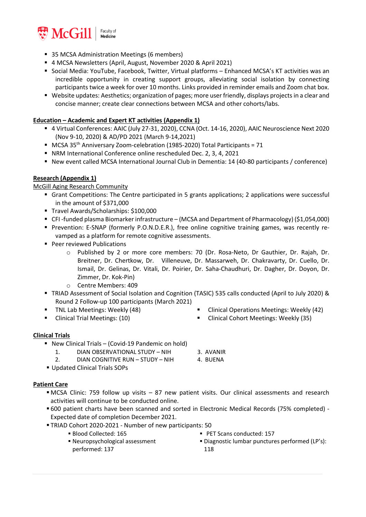

- 35 MCSA Administration Meetings (6 members)
- 4 MCSA Newsletters (April, August, November 2020 & April 2021)
- Social Media: YouTube, Facebook, Twitter, Virtual platforms Enhanced MCSA's KT activities was an incredible opportunity in creating support groups, alleviating social isolation by connecting participants twice a week for over 10 months. Links provided in reminder emails and Zoom chat box.
- Website updates: Aesthetics; organization of pages; more user friendly, displays projects in a clear and concise manner; create clear connections between MCSA and other cohorts/labs.

#### **Education – Academic and Expert KT activities (Appendix 1)**

- 4 Virtual Conferences: AAIC (July 27-31, 2020), CCNA (Oct. 14-16, 2020), AAIC Neuroscience Next 2020 (Nov 9-10, 2020) & AD/PD 2021 (March 9-14,2021)
- **MCSA 35<sup>th</sup> Anniversary Zoom-celebration (1985-2020) Total Participants = 71**
- NRM International Conference online rescheduled Dec. 2, 3, 4, 2021
- New event called MCSA International Journal Club in Dementia: 14 (40-80 participants / conference)

#### **Research (Appendix 1)**

#### McGill Aging Research Community

- Grant Competitions: The Centre participated in 5 grants applications; 2 applications were successful in the amount of \$371,000
- Travel Awards/Scholarships: \$100,000
- CFI -funded plasma Biomarker infrastructure (MCSA and Department of Pharmacology) (\$1,054,000)
- Prevention: E-SNAP (formerly P.O.N.D.E.R.), free online cognitive training games, was recently revamped as a platform for remote cognitive assessments.
- Peer reviewed Publications
	- o Published by 2 or more core members: 70 (Dr. Rosa-Neto, Dr Gauthier, Dr. Rajah, Dr. Breitner, Dr. Chertkow, Dr. Villeneuve, Dr. Massarweh, Dr. Chakravarty, Dr. Cuello, Dr. Ismail, Dr. Gelinas, Dr. Vitali, Dr. Poirier, Dr. Saha-Chaudhuri, Dr. Dagher, Dr. Doyon, Dr. Zimmer, Dr. Kok-Pin)

3. AVANIR

- o Centre Members: 409
- TRIAD Assessment of Social Isolation and Cognition (TASIC) 535 calls conducted (April to July 2020) & Round 2 Follow-up 100 participants (March 2021)
- TNL Lab Meetings: Weekly (48)
- Clinical Trial Meetings: (10)
- Clinical Operations Meetings: Weekly (42)
- Clinical Cohort Meetings: Weekly (35)

#### **Clinical Trials**

- New Clinical Trials (Covid-19 Pandemic on hold)
	- 1. DIAN OBSERVATIONAL STUDY NIH
	- 2. DIAN COGNITIVE RUN STUDY NIH 4. BUENA
- Updated Clinical Trials SOPs

#### **Patient Care**

- **MCSA Clinic: 759 follow up visits 87 new patient visits. Our clinical assessments and research** activities will continue to be conducted online.
- 600 patient charts have been scanned and sorted in Electronic Medical Records (75% completed) Expected date of completion December 2021.
- TRIAD Cohort 2020-2021 Number of new participants: 50
	- Blood Collected: 165
	- Neuropsychological assessment performed: 137
- PET Scans conducted: 157
- Diagnostic lumbar punctures performed (LP's): 118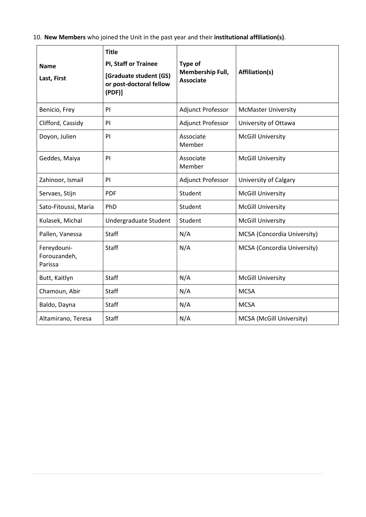10. **New Members** who joined the Unit in the past year and their **institutional affiliation(s)**.

| <b>Name</b><br>Last, First             | <b>Title</b><br>PI, Staff or Trainee<br>[Graduate student (GS)<br>or post-doctoral fellow<br>$(PDF)$ ] | Type of<br>Membership Full,<br><b>Associate</b> | Affiliation(s)               |
|----------------------------------------|--------------------------------------------------------------------------------------------------------|-------------------------------------------------|------------------------------|
| Benicio, Frey                          | PI                                                                                                     | Adjunct Professor                               | <b>McMaster University</b>   |
| Clifford, Cassidy                      | PI                                                                                                     | <b>Adjunct Professor</b>                        | University of Ottawa         |
| Doyon, Julien                          | PI                                                                                                     | Associate<br>Member                             | <b>McGill University</b>     |
| Geddes, Maiya                          | PI                                                                                                     | Associate<br>Member                             | <b>McGill University</b>     |
| Zahinoor, Ismail                       | PI                                                                                                     | <b>Adjunct Professor</b>                        | <b>University of Calgary</b> |
| Servaes, Stijn                         | <b>PDF</b>                                                                                             | Student                                         | <b>McGill University</b>     |
| Sato-Fitoussi, Maria                   | PhD                                                                                                    | Student                                         | <b>McGill University</b>     |
| Kulasek, Michal                        | Undergraduate Student                                                                                  | Student                                         | <b>McGill University</b>     |
| Pallen, Vanessa                        | <b>Staff</b>                                                                                           | N/A                                             | MCSA (Concordia University)  |
| Fereydouni-<br>Forouzandeh,<br>Parissa | <b>Staff</b>                                                                                           | N/A                                             | MCSA (Concordia University)  |
| Butt, Kaitlyn                          | <b>Staff</b>                                                                                           | N/A                                             | <b>McGill University</b>     |
| Chamoun, Abir                          | <b>Staff</b>                                                                                           | N/A                                             | <b>MCSA</b>                  |
| Baldo, Dayna                           | <b>Staff</b>                                                                                           | N/A                                             | <b>MCSA</b>                  |
| Altamirano, Teresa                     | <b>Staff</b>                                                                                           | N/A                                             | MCSA (McGill University)     |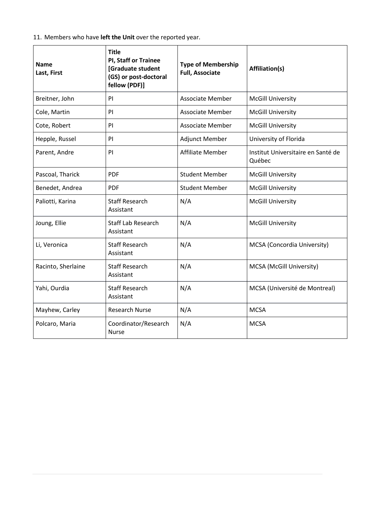11. Members who have **left the Unit** over the reported year.

| <b>Name</b><br>Last, First | <b>Title</b><br>PI, Staff or Trainee<br>[Graduate student<br>(GS) or post-doctoral<br>fellow (PDF)] | <b>Type of Membership</b><br><b>Full, Associate</b> | Affiliation(s)                               |
|----------------------------|-----------------------------------------------------------------------------------------------------|-----------------------------------------------------|----------------------------------------------|
| Breitner, John             | PI                                                                                                  | <b>Associate Member</b>                             | <b>McGill University</b>                     |
| Cole, Martin               | PI                                                                                                  | <b>Associate Member</b>                             | <b>McGill University</b>                     |
| Cote, Robert               | PI                                                                                                  | <b>Associate Member</b>                             | <b>McGill University</b>                     |
| Hepple, Russel             | PI                                                                                                  | <b>Adjunct Member</b>                               | University of Florida                        |
| Parent, Andre              | PI                                                                                                  | <b>Affiliate Member</b>                             | Institut Universitaire en Santé de<br>Québec |
| Pascoal, Tharick           | <b>PDF</b>                                                                                          | <b>Student Member</b>                               | <b>McGill University</b>                     |
| Benedet, Andrea            | <b>PDF</b>                                                                                          | <b>Student Member</b>                               | <b>McGill University</b>                     |
| Paliotti, Karina           | <b>Staff Research</b><br>Assistant                                                                  | N/A                                                 | <b>McGill University</b>                     |
| Joung, Ellie               | <b>Staff Lab Research</b><br>Assistant                                                              | N/A                                                 | <b>McGill University</b>                     |
| Li, Veronica               | <b>Staff Research</b><br>Assistant                                                                  | N/A                                                 | MCSA (Concordia University)                  |
| Racinto, Sherlaine         | <b>Staff Research</b><br>Assistant                                                                  | N/A                                                 | MCSA (McGill University)                     |
| Yahi, Ourdia               | <b>Staff Research</b><br>Assistant                                                                  | N/A                                                 | MCSA (Université de Montreal)                |
| Mayhew, Carley             | <b>Research Nurse</b>                                                                               | N/A                                                 | <b>MCSA</b>                                  |
| Polcaro, Maria             | Coordinator/Research<br><b>Nurse</b>                                                                | N/A                                                 | <b>MCSA</b>                                  |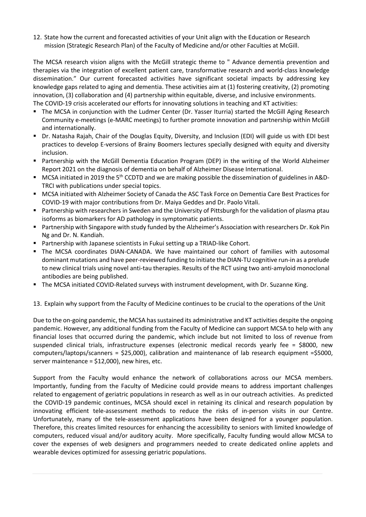12. State how the current and forecasted activities of your Unit align with the Education or Research mission (Strategic Research Plan) of the Faculty of Medicine and/or other Faculties at McGill.

The MCSA research vision aligns with the McGill strategic theme to " Advance dementia prevention and therapies via the integration of excellent patient care, transformative research and world-class knowledge dissemination." Our current forecasted activities have significant societal impacts by addressing key knowledge gaps related to aging and dementia. These activities aim at (1) fostering creativity, (2) promoting innovation, (3) collaboration and (4) partnership within equitable, diverse, and inclusive environments. The COVID-19 crisis accelerated our efforts for innovating solutions in teaching and KT activities:

- The MCSA in conjunction with the Ludmer Center (Dr. Yasser Iturria) started the McGill Aging Research Community e-meetings (e-MARC meetings) to further promote innovation and partnership within McGill and internationally.
- Dr. Natasha Rajah, Chair of the Douglas Equity, Diversity, and Inclusion (EDI) will guide us with EDI best practices to develop E-versions of Brainy Boomers lectures specially designed with equity and diversity inclusion.
- Partnership with the McGill Dementia Education Program (DEP) in the writing of the World Alzheimer Report 2021 on the diagnosis of dementia on behalf of Alzheimer Disease International.
- $\blacksquare$  MCSA initiated in 2019 the 5<sup>th</sup> CCDTD and we are making possible the dissemination of guidelines in A&D-TRCI with publications under special topics.
- **EXECTA INCOVER 19 IN ALCT INCOVER 1** MCSA intituation the ASC Task Force on Dementia Care Best Practices for COVID-19 with major contributions from Dr. Maiya Geddes and Dr. Paolo Vitali.
- Partnership with researchers in Sweden and the University of Pittsburgh for the validation of plasma ptau isoforms as biomarkers for AD pathology in symptomatic patients.
- Partnership with Singapore with study funded by the Alzheimer's Association with researchers Dr. Kok Pin Ng and Dr. N. Kandiah.
- Partnership with Japanese scientists in Fukui setting up a TRIAD-like Cohort.
- **The MCSA coordinates DIAN-CANADA. We have maintained our cohort of families with autosomal** dominant mutations and have peer-reviewed funding to initiate the DIAN-TU cognitive run-in as a prelude to new clinical trials using novel anti-tau therapies. Results of the RCT using two anti-amyloid monoclonal antibodies are being published.
- The MCSA initiated COVID-Related surveys with instrument development, with Dr. Suzanne King.

13. Explain why support from the Faculty of Medicine continues to be crucial to the operations of the Unit

Due to the on-going pandemic, the MCSA has sustained its administrative and KT activities despite the ongoing pandemic. However, any additional funding from the Faculty of Medicine can support MCSA to help with any financial loses that occurred during the pandemic, which include but not limited to loss of revenue from suspended clinical trials, infrastructure expenses (electronic medical records yearly fee = \$8000, new computers/laptops/scanners =  $$25,000$ , calibration and maintenance of lab research equipment = $$5000$ , server maintenance = \$12,000), new hires, etc.

Support from the Faculty would enhance the network of collaborations across our MCSA members. Importantly, funding from the Faculty of Medicine could provide means to address important challenges related to engagement of geriatric populations in research as well as in our outreach activities. As predicted the COVID-19 pandemic continues, MCSA should excel in retaining its clinical and research population by innovating efficient tele-assessment methods to reduce the risks of in-person visits in our Centre. Unfortunately, many of the tele-assessment applications have been designed for a younger population. Therefore, this creates limited resources for enhancing the accessibility to seniors with limited knowledge of computers, reduced visual and/or auditory acuity. More specifically, Faculty funding would allow MCSA to cover the expenses of web designers and programmers needed to create dedicated online applets and wearable devices optimized for assessing geriatric populations.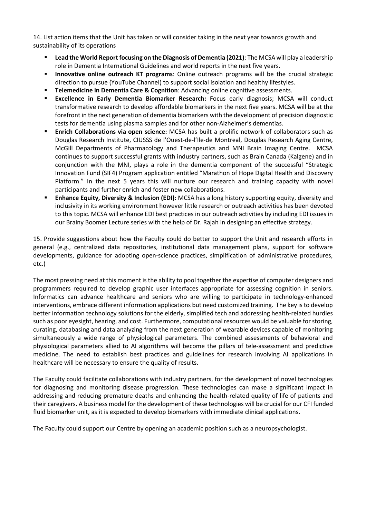14. List action items that the Unit has taken or will consider taking in the next year towards growth and sustainability of its operations

- **Lead the World Report focusing on the Diagnosis of Dementia (2021)**: The MCSA will play a leadership role in Dementia International Guidelines and world reports in the next five years.
- **Innovative online outreach KT programs**: Online outreach programs will be the crucial strategic direction to pursue (YouTube Channel) to support social isolation and healthy lifestyles.
- **Telemedicine in Dementia Care & Cognition**: Advancing online cognitive assessments.
- **Excellence in Early Dementia Biomarker Research:** Focus early diagnosis; MCSA will conduct transformative research to develop affordable biomarkers in the next five years. MCSA will be at the forefront in the next generation of dementia biomarkers with the development of precision diagnostic tests for dementia using plasma samples and for other non-Alzheimer's dementias.
- **Enrich Collaborations via open science:** MCSA has built a prolific network of collaborators such as Douglas Research Institute, CIUSSS de l'Ouest-de-l'Ile-de Montreal, Douglas Research Aging Centre, McGill Departments of Pharmacology and Therapeutics and MNI Brain Imaging Centre. MCSA continues to support successful grants with industry partners, such as Brain Canada (Kalgene) and in conjunction with the MNI, plays a role in the dementia component of the successful "Strategic Innovation Fund (SIF4) Program application entitled "Marathon of Hope Digital Health and Discovery Platform." In the next 5 years this will nurture our research and training capacity with novel participants and further enrich and foster new collaborations.
- **Enhance Equity, Diversity & Inclusion (EDI):** MCSA has a long history supporting equity, diversity and inclusivity in its working environment however little research or outreach activities has been devoted to this topic. MCSA will enhance EDI best practices in our outreach activities by including EDI issues in our Brainy Boomer Lecture series with the help of Dr. Rajah in designing an effective strategy.

15. Provide suggestions about how the Faculty could do better to support the Unit and research efforts in general (e.g., centralized data repositories, institutional data management plans, support for software developments, guidance for adopting open-science practices, simplification of administrative procedures, etc.)

The most pressing need at this moment is the ability to pool together the expertise of computer designers and programmers required to develop graphic user interfaces appropriate for assessing cognition in seniors. Informatics can advance healthcare and seniors who are willing to participate in technology-enhanced interventions, embrace different information applications but need customized training. The key is to develop better information technology solutions for the elderly, simplified tech and addressing health-related hurdles such as poor eyesight, hearing, and cost. Furthermore, computational resources would be valuable forstoring, curating, databasing and data analyzing from the next generation of wearable devices capable of monitoring simultaneously a wide range of physiological parameters. The combined assessments of behavioral and physiological parameters allied to AI algorithms will become the pillars of tele-assessment and predictive medicine. The need to establish best practices and guidelines for research involving AI applications in healthcare will be necessary to ensure the quality of results.

The Faculty could facilitate collaborations with industry partners, for the development of novel technologies for diagnosing and monitoring disease progression. These technologies can make a significant impact in addressing and reducing premature deaths and enhancing the health-related quality of life of patients and their caregivers. A business model for the development of these technologies will be crucial for our CFI funded fluid biomarker unit, as it is expected to develop biomarkers with immediate clinical applications.

The Faculty could support our Centre by opening an academic position such as a neuropsychologist.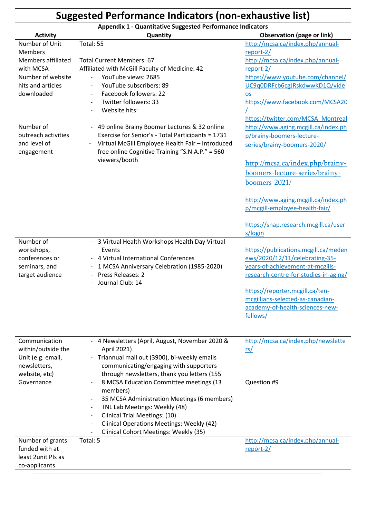# **Suggested Performance Indicators (non-exhaustive list)**

| <b>Appendix 1 - Quantitative Suggested Performance Indicators</b> |                                                                       |                                       |  |  |  |
|-------------------------------------------------------------------|-----------------------------------------------------------------------|---------------------------------------|--|--|--|
| <b>Activity</b>                                                   | Quantity                                                              | <b>Observation (page or link)</b>     |  |  |  |
| Number of Unit                                                    | Total: 55                                                             | http://mcsa.ca/index.php/annual-      |  |  |  |
| <b>Members</b>                                                    |                                                                       | report-2/                             |  |  |  |
| <b>Members affiliated</b>                                         | <b>Total Current Members: 67</b>                                      | http://mcsa.ca/index.php/annual-      |  |  |  |
| with MCSA                                                         | Affiliated with McGill Faculty of Medicine: 42                        | report-2/                             |  |  |  |
| Number of website                                                 | YouTube views: 2685<br>$\blacksquare$                                 | https://www.youtube.com/channel/      |  |  |  |
| hits and articles                                                 | YouTube subscribers: 89                                               | UC9q0DRFcb6cgJRskdwwKD1Q/vide         |  |  |  |
| downloaded                                                        | Facebook followers: 22                                                | <b>OS</b>                             |  |  |  |
|                                                                   | <b>Twitter followers: 33</b>                                          | https://www.facebook.com/MCSA20       |  |  |  |
|                                                                   | Website hits:                                                         |                                       |  |  |  |
|                                                                   |                                                                       | https://twitter.com/MCSA_Montreal     |  |  |  |
| Number of                                                         | 49 online Brainy Boomer Lectures & 32 online                          | http://www.aging.mcgill.ca/index.ph   |  |  |  |
| outreach activities                                               | Exercise for Senior's - Total Participants = 1731                     | p/brainy-boomers-lecture-             |  |  |  |
| and level of                                                      | Virtual McGill Employee Health Fair - Introduced                      | series/brainy-boomers-2020/           |  |  |  |
| engagement                                                        | free online Cognitive Training "S.N.A.P." = 560                       |                                       |  |  |  |
|                                                                   | viewers/booth                                                         | http://mcsa.ca/index.php/brainy-      |  |  |  |
|                                                                   |                                                                       | boomers-lecture-series/brainy-        |  |  |  |
|                                                                   |                                                                       |                                       |  |  |  |
|                                                                   |                                                                       | boomers-2021/                         |  |  |  |
|                                                                   |                                                                       | http://www.aging.mcgill.ca/index.ph   |  |  |  |
|                                                                   |                                                                       | p/mcgill-employee-health-fair/        |  |  |  |
|                                                                   |                                                                       |                                       |  |  |  |
|                                                                   |                                                                       | https://snap.research.mcgill.ca/user  |  |  |  |
|                                                                   |                                                                       | s/login                               |  |  |  |
| Number of                                                         | - 3 Virtual Health Workshops Health Day Virtual                       |                                       |  |  |  |
| workshops,                                                        | Events                                                                | https://publications.mcgill.ca/meden  |  |  |  |
| conferences or                                                    | - 4 Virtual International Conferences                                 | ews/2020/12/11/celebrating-35-        |  |  |  |
| seminars, and                                                     | 1 MCSA Anniversary Celebration (1985-2020)                            | years-of-achievement-at-mcgills-      |  |  |  |
| target audience                                                   | Press Releases: 2                                                     | research-centre-for-studies-in-aging/ |  |  |  |
|                                                                   | Journal Club: 14                                                      |                                       |  |  |  |
|                                                                   |                                                                       | https://reporter.mcgill.ca/ten-       |  |  |  |
|                                                                   |                                                                       | mcgillians-selected-as-canadian-      |  |  |  |
|                                                                   |                                                                       | academy-of-health-sciences-new-       |  |  |  |
|                                                                   |                                                                       | fellows/                              |  |  |  |
|                                                                   |                                                                       |                                       |  |  |  |
| Communication                                                     | - 4 Newsletters (April, August, November 2020 &                       | http://mcsa.ca/index.php/newslette    |  |  |  |
| within/outside the                                                | April 2021)                                                           | rs/                                   |  |  |  |
| Unit (e.g. email,                                                 | Triannual mail out (3900), bi-weekly emails                           |                                       |  |  |  |
| newsletters,                                                      | communicating/engaging with supporters                                |                                       |  |  |  |
| website, etc)                                                     | through newsletters, thank you letters (155                           |                                       |  |  |  |
| Governance                                                        | 8 MCSA Education Committee meetings (13                               | Question #9                           |  |  |  |
|                                                                   | members)                                                              |                                       |  |  |  |
|                                                                   | 35 MCSA Administration Meetings (6 members)                           |                                       |  |  |  |
|                                                                   | TNL Lab Meetings: Weekly (48)<br>$\overline{\phantom{a}}$             |                                       |  |  |  |
|                                                                   | Clinical Trial Meetings: (10)<br>$\overline{\phantom{a}}$             |                                       |  |  |  |
|                                                                   | Clinical Operations Meetings: Weekly (42)<br>$\overline{\phantom{a}}$ |                                       |  |  |  |
|                                                                   | Clinical Cohort Meetings: Weekly (35)                                 |                                       |  |  |  |
| Number of grants                                                  | Total: 5                                                              | http://mcsa.ca/index.php/annual-      |  |  |  |
| funded with at                                                    |                                                                       | report-2/                             |  |  |  |
| least 2unit PIs as                                                |                                                                       |                                       |  |  |  |
| co-applicants                                                     |                                                                       |                                       |  |  |  |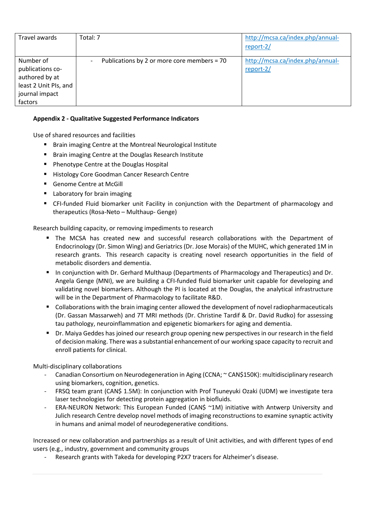| Travel awards                                                                                         | Total: 7                                    | http://mcsa.ca/index.php/annual-<br>report-2/ |
|-------------------------------------------------------------------------------------------------------|---------------------------------------------|-----------------------------------------------|
| Number of<br>publications co-<br>authored by at<br>least 2 Unit Pls, and<br>journal impact<br>factors | Publications by 2 or more core members = 70 | http://mcsa.ca/index.php/annual-<br>report-2/ |

## **Appendix 2 - Qualitative Suggested Performance Indicators**

Use of shared resources and facilities

- Brain imaging Centre at the Montreal Neurological Institute
- Brain imaging Centre at the Douglas Research Institute
- Phenotype Centre at the Douglas Hospital
- Histology Core Goodman Cancer Research Centre
- Genome Centre at McGill
- Laboratory for brain imaging
- CFI-funded Fluid biomarker unit Facility in conjunction with the Department of pharmacology and therapeutics (Rosa-Neto – Multhaup- Genge)

Research building capacity, or removing impediments to research

- The MCSA has created new and successful research collaborations with the Department of Endocrinology (Dr. Simon Wing) and Geriatrics (Dr. Jose Morais) of the MUHC, which generated 1M in research grants. This research capacity is creating novel research opportunities in the field of metabolic disorders and dementia.
- In conjunction with Dr. Gerhard Multhaup (Departments of Pharmacology and Therapeutics) and Dr. Angela Genge (MNI), we are building a CFI-funded fluid biomarker unit capable for developing and validating novel biomarkers. Although the PI is located at the Douglas, the analytical infrastructure will be in the Department of Pharmacology to facilitate R&D.
- Collaborations with the brain imaging center allowed the development of novel radiopharmaceuticals (Dr. Gassan Massarweh) and 7T MRI methods (Dr. Christine Tardif & Dr. David Rudko) for assessing tau pathology, neuroinflammation and epigenetic biomarkers for aging and dementia.
- Dr. Maiya Geddes has joined our research group opening new perspectives in our research in the field of decision making. There was a substantial enhancement of our working space capacity to recruit and enroll patients for clinical.

Multi-disciplinary collaborations

- Canadian Consortium on Neurodegeneration in Aging (CCNA; ~ CAN\$150K): multidisciplinary research using biomarkers, cognition, genetics.
- FRSQ team grant (CAN\$ 1.5M): In conjunction with Prof Tsuneyuki Ozaki (UDM) we investigate tera laser technologies for detecting protein aggregation in biofluids.
- ERA-NEURON Network: This European Funded (CAN\$ ~1M) initiative with Antwerp University and Julich research Centre develop novel methods of imaging reconstructions to examine synaptic activity in humans and animal model of neurodegenerative conditions.

Increased or new collaboration and partnerships as a result of Unit activities, and with different types of end users (e.g., industry, government and community groups

Research grants with Takeda for developing P2X7 tracers for Alzheimer's disease.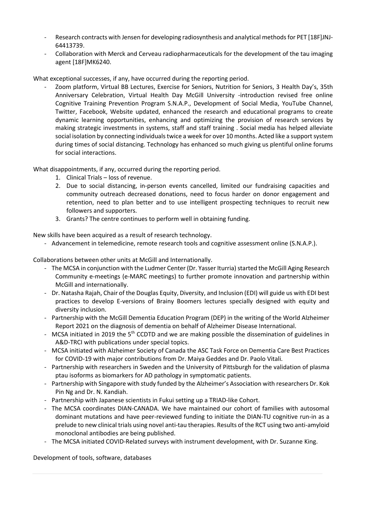- Research contracts with Jensen for developing radiosynthesis and analytical methods for PET [18F]JNJ-64413739.
- Collaboration with Merck and Cerveau radiopharmaceuticals for the development of the tau imaging agent [18F]MK6240.

What exceptional successes, if any, have occurred during the reporting period.

Zoom platform, Virtual BB Lectures, Exercise for Seniors, Nutrition for Seniors, 3 Health Day's, 35th Anniversary Celebration, Virtual Health Day McGill University -introduction revised free online Cognitive Training Prevention Program S.N.A.P., Development of Social Media, YouTube Channel, Twitter, Facebook, Website updated, enhanced the research and educational programs to create dynamic learning opportunities, enhancing and optimizing the provision of research services by making strategic investments in systems, staff and staff training . Social media has helped alleviate social isolation by connecting individuals twice a week for over 10 months. Acted like a support system during times of social distancing. Technology has enhanced so much giving us plentiful online forums for social interactions.

What disappointments, if any, occurred during the reporting period.

- 1. Clinical Trials loss of revenue.
- 2. Due to social distancing, in-person events cancelled, limited our fundraising capacities and community outreach decreased donations, need to focus harder on donor engagement and retention, need to plan better and to use intelligent prospecting techniques to recruit new followers and supporters.
- 3. Grants? The centre continues to perform well in obtaining funding.

New skills have been acquired as a result of research technology.

- Advancement in telemedicine, remote research tools and cognitive assessment online (S.N.A.P.).

Collaborations between other units at McGill and Internationally.

- The MCSA in conjunction with the Ludmer Center (Dr. Yasser Iturria) started the McGill Aging Research Community e-meetings (e-MARC meetings) to further promote innovation and partnership within McGill and internationally.
- Dr. Natasha Rajah, Chair of the Douglas Equity, Diversity, and Inclusion (EDI) will guide us with EDI best practices to develop E-versions of Brainy Boomers lectures specially designed with equity and diversity inclusion.
- Partnership with the McGill Dementia Education Program (DEP) in the writing of the World Alzheimer Report 2021 on the diagnosis of dementia on behalf of Alzheimer Disease International.
- MCSA initiated in 2019 the 5<sup>th</sup> CCDTD and we are making possible the dissemination of guidelines in A&D-TRCI with publications under special topics.
- MCSA initiated with Alzheimer Society of Canada the ASC Task Force on Dementia Care Best Practices for COVID-19 with major contributions from Dr. Maiya Geddes and Dr. Paolo Vitali.
- Partnership with researchers in Sweden and the University of Pittsburgh for the validation of plasma ptau isoforms as biomarkers for AD pathology in symptomatic patients.
- Partnership with Singapore with study funded by the Alzheimer's Association with researchers Dr. Kok Pin Ng and Dr. N. Kandiah.
- Partnership with Japanese scientists in Fukui setting up a TRIAD-like Cohort.
- The MCSA coordinates DIAN-CANADA. We have maintained our cohort of families with autosomal dominant mutations and have peer-reviewed funding to initiate the DIAN-TU cognitive run-in as a prelude to new clinical trials using novel anti-tau therapies. Results of the RCT using two anti-amyloid monoclonal antibodies are being published.
- The MCSA initiated COVID-Related surveys with instrument development, with Dr. Suzanne King.

Development of tools, software, databases